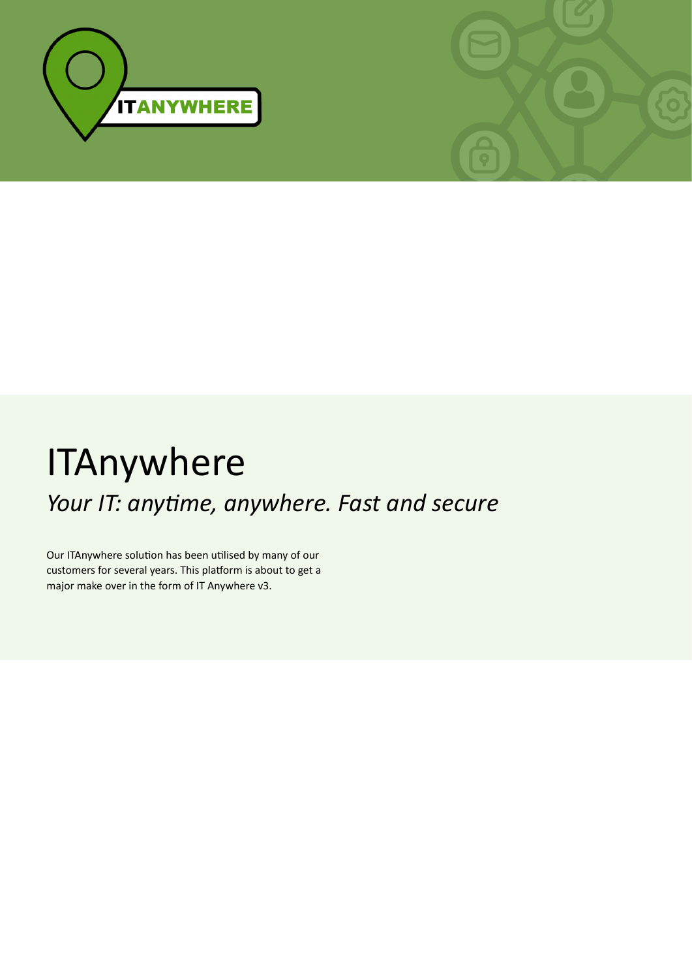



# **ITAnywhere**

*Your IT: anytime, anywhere. Fast and secure* 

Our ITAnywhere solution has been utilised by many of our customers for several years. This platform is about to get a major make over in the form of IT Anywhere v3.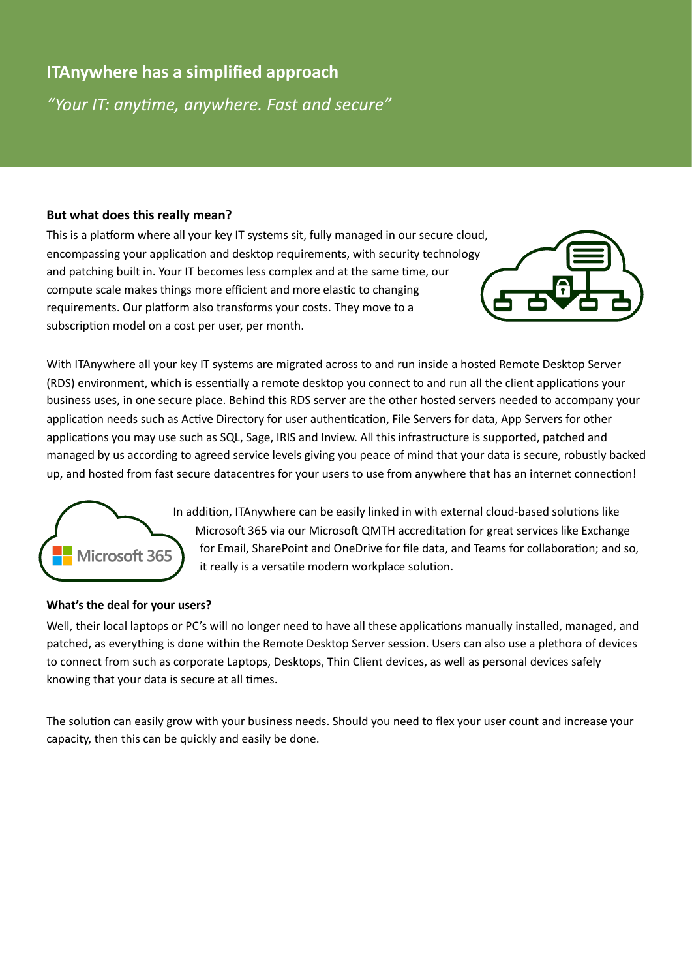## **ITAnywhere has a simplified approach**

"Your IT: anytime, anywhere. Fast and secure"

#### But what does this really mean?

This is a platform where all your key IT systems sit, fully managed in our secure cloud, encompassing your application and desktop requirements, with security technology and patching built in. Your IT becomes less complex and at the same time, our compute scale makes things more efficient and more elastic to changing requirements. Our platform also transforms your costs. They move to a subscription model on a cost per user, per month.



With ITAnywhere all your key IT systems are migrated across to and run inside a hosted Remote Desktop Server (RDS) environment, which is essentially a remote desktop you connect to and run all the client applications your business uses, in one secure place. Behind this RDS server are the other hosted servers needed to accompany your application needs such as Active Directory for user authentication, File Servers for data, App Servers for other applications you may use such as SQL, Sage, IRIS and Inview. All this infrastructure is supported, patched and managed by us according to agreed service levels giving you peace of mind that your data is secure, robustly backed up, and hosted from fast secure datacentres for your users to use from anywhere that has an internet connection!



In addition, ITAnywhere can be easily linked in with external cloud-based solutions like Microsoft 365 via our Microsoft QMTH accreditation for great services like Exchange for Email, SharePoint and OneDrive for file data, and Teams for collaboration; and so, it really is a versatile modern workplace solution.

### **What's the deal for your users?**

Well, their local laptops or PC's will no longer need to have all these applications manually installed, managed, and patched, as everything is done within the Remote Desktop Server session. Users can also use a plethora of devices to connect from such as corporate Laptops, Desktops, Thin Client devices, as well as personal devices safely knowing that your data is secure at all times.

The solution can easily grow with your business needs. Should you need to flex your user count and increase your capacity, then this can be quickly and easily be done.